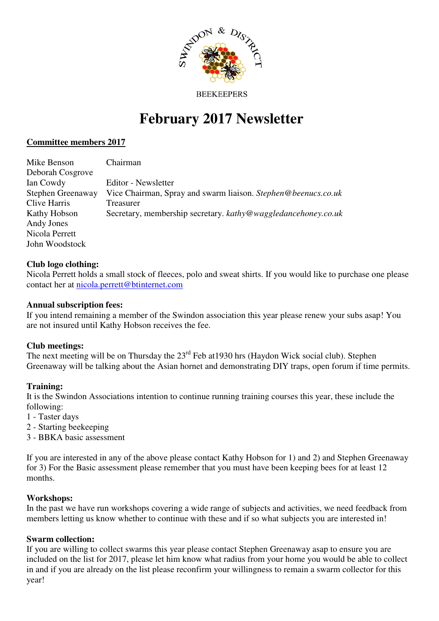

#### **BEEKEEPERS**

# **February 2017 Newsletter**

## **Committee members 2017**

| Mike Benson       | Chairman                                                      |
|-------------------|---------------------------------------------------------------|
| Deborah Cosgrove  |                                                               |
| Ian Cowdy         | Editor - Newsletter                                           |
| Stephen Greenaway | Vice Chairman, Spray and swarm liaison. Stephen@beenucs.co.uk |
| Clive Harris      | Treasurer                                                     |
| Kathy Hobson      | Secretary, membership secretary. kathy@waggledancehoney.co.uk |
| Andy Jones        |                                                               |
| Nicola Perrett    |                                                               |
| John Woodstock    |                                                               |

## **Club logo clothing:**

Nicola Perrett holds a small stock of fleeces, polo and sweat shirts. If you would like to purchase one please contact her at nicola.perrett@btinternet.com

## **Annual subscription fees:**

If you intend remaining a member of the Swindon association this year please renew your subs asap! You are not insured until Kathy Hobson receives the fee.

#### **Club meetings:**

The next meeting will be on Thursday the 23rd Feb at1930 hrs (Haydon Wick social club). Stephen Greenaway will be talking about the Asian hornet and demonstrating DIY traps, open forum if time permits.

#### **Training:**

It is the Swindon Associations intention to continue running training courses this year, these include the following:

- 1 Taster days
- 2 Starting beekeeping
- 3 BBKA basic assessment

If you are interested in any of the above please contact Kathy Hobson for 1) and 2) and Stephen Greenaway for 3) For the Basic assessment please remember that you must have been keeping bees for at least 12 months.

#### **Workshops:**

In the past we have run workshops covering a wide range of subjects and activities, we need feedback from members letting us know whether to continue with these and if so what subjects you are interested in!

# **Swarm collection:**

If you are willing to collect swarms this year please contact Stephen Greenaway asap to ensure you are included on the list for 2017, please let him know what radius from your home you would be able to collect in and if you are already on the list please reconfirm your willingness to remain a swarm collector for this year!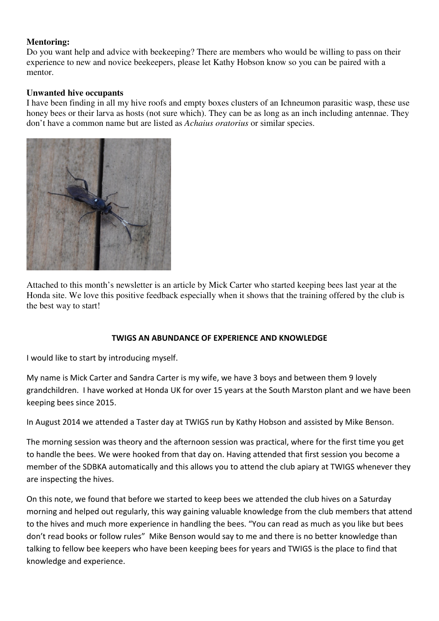# **Mentoring:**

Do you want help and advice with beekeeping? There are members who would be willing to pass on their experience to new and novice beekeepers, please let Kathy Hobson know so you can be paired with a mentor.

# **Unwanted hive occupants**

I have been finding in all my hive roofs and empty boxes clusters of an Ichneumon parasitic wasp, these use honey bees or their larva as hosts (not sure which). They can be as long as an inch including antennae. They don't have a common name but are listed as *Achaius oratorius* or similar species.



Attached to this month's newsletter is an article by Mick Carter who started keeping bees last year at the Honda site. We love this positive feedback especially when it shows that the training offered by the club is the best way to start!

# TWIGS AN ABUNDANCE OF EXPERIENCE AND KNOWLEDGE

I would like to start by introducing myself.

My name is Mick Carter and Sandra Carter is my wife, we have 3 boys and between them 9 lovely grandchildren. I have worked at Honda UK for over 15 years at the South Marston plant and we have been keeping bees since 2015.

In August 2014 we attended a Taster day at TWIGS run by Kathy Hobson and assisted by Mike Benson.

The morning session was theory and the afternoon session was practical, where for the first time you get to handle the bees. We were hooked from that day on. Having attended that first session you become a member of the SDBKA automatically and this allows you to attend the club apiary at TWIGS whenever they are inspecting the hives.

On this note, we found that before we started to keep bees we attended the club hives on a Saturday morning and helped out regularly, this way gaining valuable knowledge from the club members that attend to the hives and much more experience in handling the bees. "You can read as much as you like but bees don't read books or follow rules" Mike Benson would say to me and there is no better knowledge than talking to fellow bee keepers who have been keeping bees for years and TWIGS is the place to find that knowledge and experience.